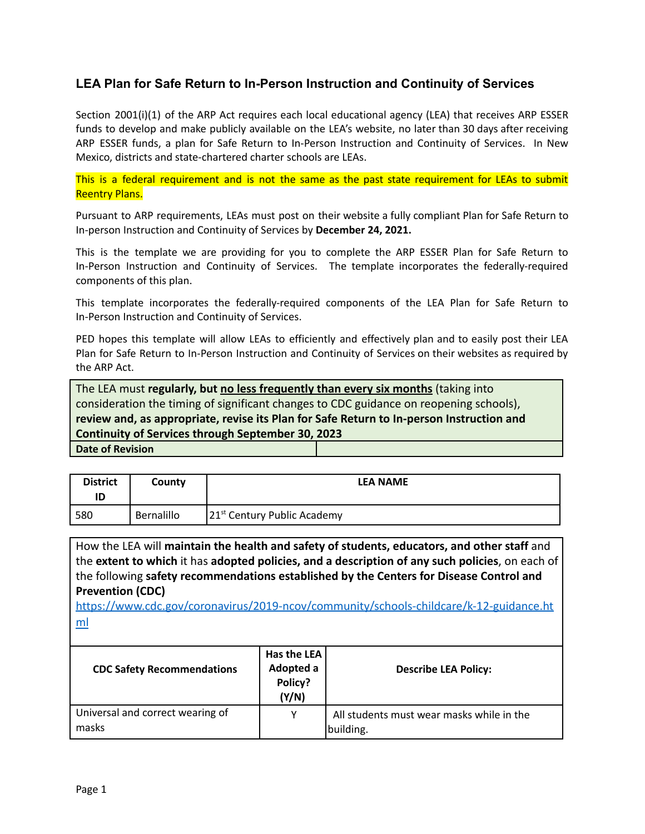## **LEA Plan for Safe Return to In-Person Instruction and Continuity of Services**

Section 2001(i)(1) of the ARP Act requires each local educational agency (LEA) that receives ARP ESSER funds to develop and make publicly available on the LEA's website, no later than 30 days after receiving ARP ESSER funds, a plan for Safe Return to In-Person Instruction and Continuity of Services. In New Mexico, districts and state-chartered charter schools are LEAs.

This is a federal requirement and is not the same as the past state requirement for LEAs to submit Reentry Plans.

Pursuant to ARP requirements, LEAs must post on their website a fully compliant Plan for Safe Return to In-person Instruction and Continuity of Services by **December 24, 2021.**

This is the template we are providing for you to complete the ARP ESSER Plan for Safe Return to In-Person Instruction and Continuity of Services. The template incorporates the federally-required components of this plan.

This template incorporates the federally-required components of the LEA Plan for Safe Return to In-Person Instruction and Continuity of Services.

PED hopes this template will allow LEAs to efficiently and effectively plan and to easily post their LEA Plan for Safe Return to In-Person Instruction and Continuity of Services on their websites as required by the ARP Act.

The LEA must **regularly, but no less frequently than every six months** (taking into consideration the timing of significant changes to CDC guidance on reopening schools), **review and, as appropriate, revise its Plan for Safe Return to In-person Instruction and Continuity of Services through September 30, 2023 Date of Revision**

| <b>District</b><br>ID | County     | <b>LEA NAME</b>                         |
|-----------------------|------------|-----------------------------------------|
| 580                   | Bernalillo | 21 <sup>st</sup> Century Public Academy |

How the LEA will **maintain the health and safety of students, educators, and other staff** and the **extent to which** it has **adopted policies, and a description of any such policies**, on each of the following **safety recommendations established by the Centers for Disease Control and Prevention (CDC)**

[https://www.cdc.gov/coronavirus/2019-ncov/community/schools-childcare/k-12-guidance.ht](https://www.cdc.gov/coronavirus/2019-ncov/community/schools-childcare/k-12-guidance.html) [ml](https://www.cdc.gov/coronavirus/2019-ncov/community/schools-childcare/k-12-guidance.html)

| <b>CDC Safety Recommendations</b>         | Has the LEA<br>Adopted a<br>Policy?<br>(Y/N) | <b>Describe LEA Policy:</b>                            |
|-------------------------------------------|----------------------------------------------|--------------------------------------------------------|
| Universal and correct wearing of<br>masks | Υ                                            | All students must wear masks while in the<br>building. |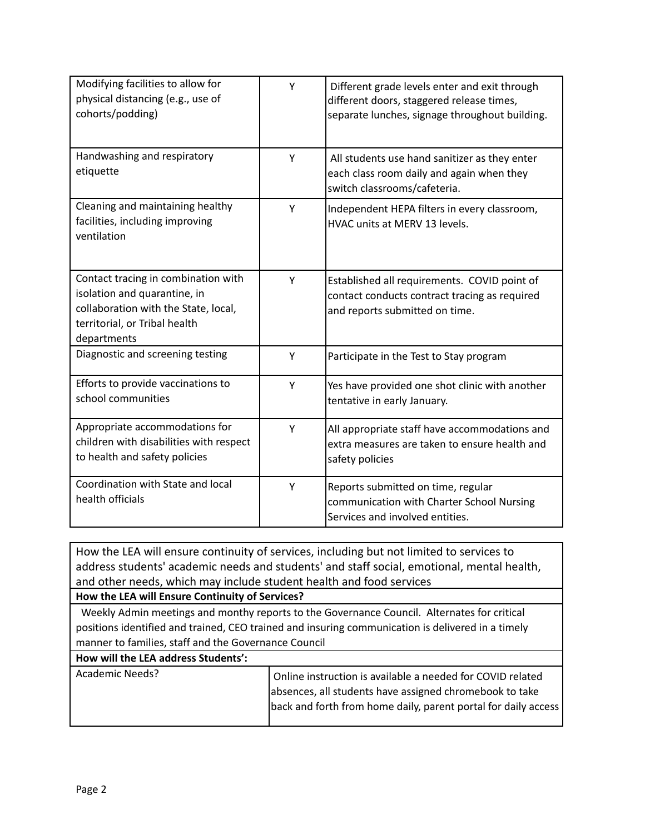| Modifying facilities to allow for<br>physical distancing (e.g., use of<br>cohorts/podding)                                                                  | Y | Different grade levels enter and exit through<br>different doors, staggered release times,<br>separate lunches, signage throughout building. |
|-------------------------------------------------------------------------------------------------------------------------------------------------------------|---|----------------------------------------------------------------------------------------------------------------------------------------------|
| Handwashing and respiratory<br>etiquette                                                                                                                    | Y | All students use hand sanitizer as they enter<br>each class room daily and again when they<br>switch classrooms/cafeteria.                   |
| Cleaning and maintaining healthy<br>facilities, including improving<br>ventilation                                                                          | Υ | Independent HEPA filters in every classroom,<br>HVAC units at MERV 13 levels.                                                                |
| Contact tracing in combination with<br>isolation and quarantine, in<br>collaboration with the State, local,<br>territorial, or Tribal health<br>departments | Y | Established all requirements. COVID point of<br>contact conducts contract tracing as required<br>and reports submitted on time.              |
| Diagnostic and screening testing                                                                                                                            | Y | Participate in the Test to Stay program                                                                                                      |
| Efforts to provide vaccinations to<br>school communities                                                                                                    | Y | Yes have provided one shot clinic with another<br>tentative in early January.                                                                |
| Appropriate accommodations for<br>children with disabilities with respect<br>to health and safety policies                                                  | Y | All appropriate staff have accommodations and<br>extra measures are taken to ensure health and<br>safety policies                            |
| Coordination with State and local<br>health officials                                                                                                       | Y | Reports submitted on time, regular<br>communication with Charter School Nursing<br>Services and involved entities.                           |

How the LEA will ensure continuity of services, including but not limited to services to address students' academic needs and students' and staff social, emotional, mental health, and other needs, which may include student health and food services

### **How the LEA will Ensure Continuity of Services?**

Weekly Admin meetings and monthy reports to the Governance Council. Alternates for critical positions identified and trained, CEO trained and insuring communication is delivered in a timely manner to families, staff and the Governance Council

#### **How will the LEA address Students':**

| Academic Needs? | Online instruction is available a needed for COVID related     |
|-----------------|----------------------------------------------------------------|
|                 | absences, all students have assigned chromebook to take        |
|                 | back and forth from home daily, parent portal for daily access |
|                 |                                                                |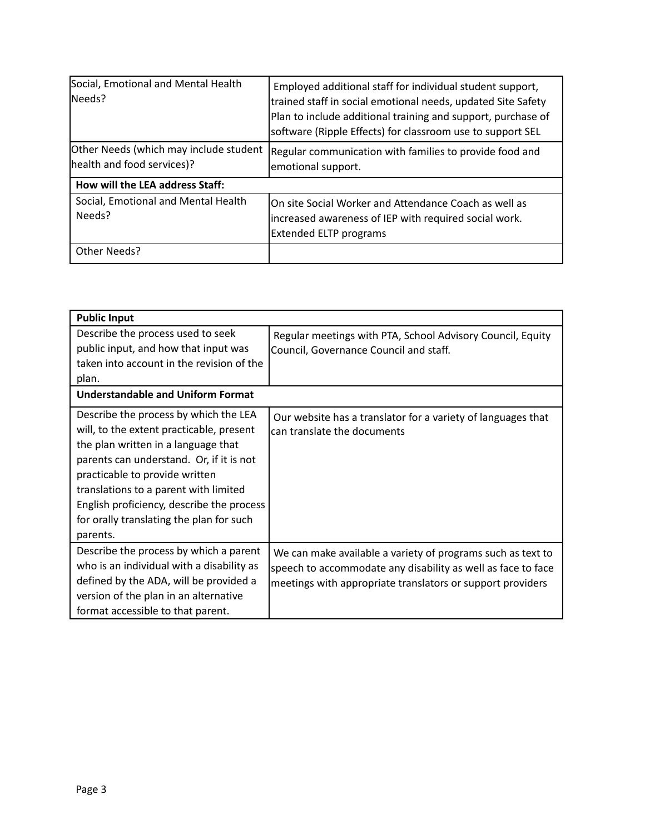| Social, Emotional and Mental Health<br>lNeeds?                       | Employed additional staff for individual student support,<br>trained staff in social emotional needs, updated Site Safety<br>Plan to include additional training and support, purchase of<br>software (Ripple Effects) for classroom use to support SEL |  |
|----------------------------------------------------------------------|---------------------------------------------------------------------------------------------------------------------------------------------------------------------------------------------------------------------------------------------------------|--|
| Other Needs (which may include student<br>health and food services)? | Regular communication with families to provide food and<br>emotional support.                                                                                                                                                                           |  |
| How will the LEA address Staff:                                      |                                                                                                                                                                                                                                                         |  |
| Social, Emotional and Mental Health<br>Needs?                        | On site Social Worker and Attendance Coach as well as<br>increased awareness of IEP with required social work.<br><b>Extended ELTP programs</b>                                                                                                         |  |
| Other Needs?                                                         |                                                                                                                                                                                                                                                         |  |

| <b>Public Input</b>                                                                                                                                                                                                                                                                                                                                  |                                                                                                                                                                                           |  |  |  |
|------------------------------------------------------------------------------------------------------------------------------------------------------------------------------------------------------------------------------------------------------------------------------------------------------------------------------------------------------|-------------------------------------------------------------------------------------------------------------------------------------------------------------------------------------------|--|--|--|
| Describe the process used to seek<br>public input, and how that input was<br>taken into account in the revision of the<br>plan.<br><b>Understandable and Uniform Format</b>                                                                                                                                                                          | Regular meetings with PTA, School Advisory Council, Equity<br>Council, Governance Council and staff.                                                                                      |  |  |  |
| Describe the process by which the LEA<br>will, to the extent practicable, present<br>the plan written in a language that<br>parents can understand. Or, if it is not<br>practicable to provide written<br>translations to a parent with limited<br>English proficiency, describe the process<br>for orally translating the plan for such<br>parents. | Our website has a translator for a variety of languages that<br>can translate the documents                                                                                               |  |  |  |
| Describe the process by which a parent<br>who is an individual with a disability as<br>defined by the ADA, will be provided a<br>version of the plan in an alternative<br>format accessible to that parent.                                                                                                                                          | We can make available a variety of programs such as text to<br>speech to accommodate any disability as well as face to face<br>meetings with appropriate translators or support providers |  |  |  |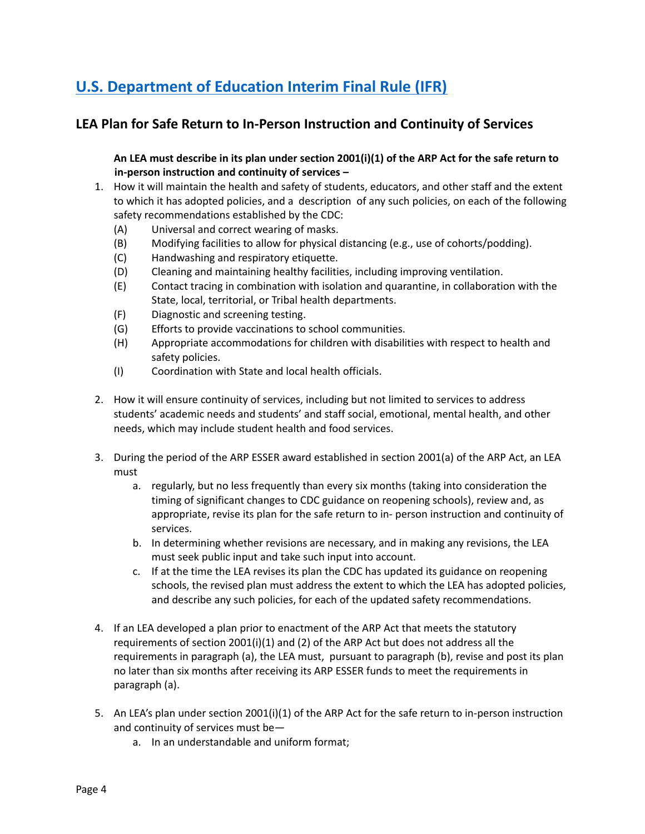# **U.S. [Department](https://www.govinfo.gov/content/pkg/FR-2021-04-22/pdf/2021-08359.pdf) of Education Interim Final Rule (IFR)**

## **LEA Plan for Safe Return to In-Person Instruction and Continuity of Services**

An LEA must describe in its plan under section 2001(i)(1) of the ARP Act for the safe return to **in-person instruction and continuity of services –**

- 1. How it will maintain the health and safety of students, educators, and other staff and the extent to which it has adopted policies, and a description of any such policies, on each of the following safety recommendations established by the CDC:
	- (A) Universal and correct wearing of masks.
	- (B) Modifying facilities to allow for physical distancing (e.g., use of cohorts/podding).
	- (C) Handwashing and respiratory etiquette.
	- (D) Cleaning and maintaining healthy facilities, including improving ventilation.
	- (E) Contact tracing in combination with isolation and quarantine, in collaboration with the State, local, territorial, or Tribal health departments.
	- (F) Diagnostic and screening testing.
	- (G) Efforts to provide vaccinations to school communities.
	- (H) Appropriate accommodations for children with disabilities with respect to health and safety policies.
	- (I) Coordination with State and local health officials.
- 2. How it will ensure continuity of services, including but not limited to services to address students' academic needs and students' and staff social, emotional, mental health, and other needs, which may include student health and food services.
- 3. During the period of the ARP ESSER award established in section 2001(a) of the ARP Act, an LEA must
	- a. regularly, but no less frequently than every six months (taking into consideration the timing of significant changes to CDC guidance on reopening schools), review and, as appropriate, revise its plan for the safe return to in- person instruction and continuity of services.
	- b. In determining whether revisions are necessary, and in making any revisions, the LEA must seek public input and take such input into account.
	- c. If at the time the LEA revises its plan the CDC has updated its guidance on reopening schools, the revised plan must address the extent to which the LEA has adopted policies, and describe any such policies, for each of the updated safety recommendations.
- 4. If an LEA developed a plan prior to enactment of the ARP Act that meets the statutory requirements of section 2001(i)(1) and (2) of the ARP Act but does not address all the requirements in paragraph (a), the LEA must, pursuant to paragraph (b), revise and post its plan no later than six months after receiving its ARP ESSER funds to meet the requirements in paragraph (a).
- 5. An LEA's plan under section 2001(i)(1) of the ARP Act for the safe return to in-person instruction and continuity of services must be
	- a. In an understandable and uniform format;